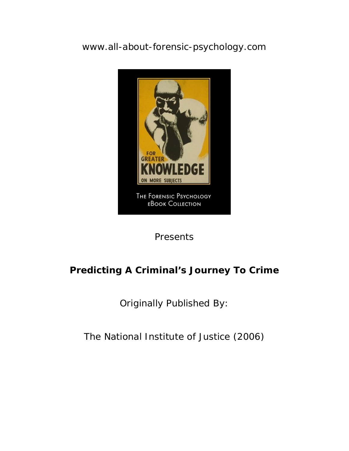[www.all-about-forensic-psychology.com](http://www.all-about-forensic-psychology.com/)



Presents

# **Predicting A Criminal's Journey To Crime**

Originally Published By:

The National Institute of Justice (2006)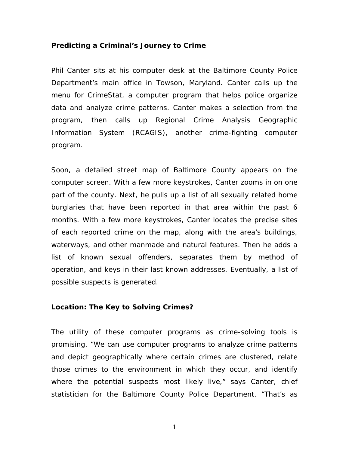## **Predicting a Criminal's Journey to Crime**

Phil Canter sits at his computer desk at the Baltimore County Police Department's main office in Towson, Maryland. Canter calls up the menu for CrimeStat, a computer program that helps police organize data and analyze crime patterns. Canter makes a selection from the program, then calls up Regional Crime Analysis Geographic Information System (RCAGIS), another crime-fighting computer program.

Soon, a detailed street map of Baltimore County appears on the computer screen. With a few more keystrokes, Canter zooms in on one part of the county. Next, he pulls up a list of all sexually related home burglaries that have been reported in that area within the past 6 months. With a few more keystrokes, Canter locates the precise sites of each reported crime on the map, along with the area's buildings, waterways, and other manmade and natural features. Then he adds a list of known sexual offenders, separates them by method of operation, and keys in their last known addresses. Eventually, a list of possible suspects is generated.

### **Location: The Key to Solving Crimes?**

The utility of these computer programs as crime-solving tools is promising. "We can use computer programs to analyze crime patterns and depict geographically where certain crimes are clustered, relate those crimes to the environment in which they occur, and identify where the potential suspects most likely live," says Canter, chief statistician for the Baltimore County Police Department. "That's as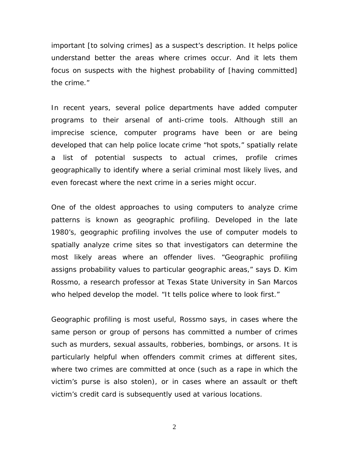important [to solving crimes] as a suspect's description. It helps police understand better the areas where crimes occur. And it lets them focus on suspects with the highest probability of [having committed] the crime."

In recent years, several police departments have added computer programs to their arsenal of anti-crime tools. Although still an imprecise science, computer programs have been or are being developed that can help police locate crime "hot spots," spatially relate a list of potential suspects to actual crimes, profile crimes geographically to identify where a serial criminal most likely lives, and even forecast where the next crime in a series might occur.

One of the oldest approaches to using computers to analyze crime patterns is known as geographic profiling. Developed in the late 1980's, geographic profiling involves the use of computer models to spatially analyze crime sites so that investigators can determine the most likely areas where an offender lives. "Geographic profiling assigns probability values to particular geographic areas," says D. Kim Rossmo, a research professor at Texas State University in San Marcos who helped develop the model. "It tells police where to look first."

Geographic profiling is most useful, Rossmo says, in cases where the same person or group of persons has committed a number of crimes such as murders, sexual assaults, robberies, bombings, or arsons. It is particularly helpful when offenders commit crimes at different sites, where two crimes are committed at once (such as a rape in which the victim's purse is also stolen), or in cases where an assault or theft victim's credit card is subsequently used at various locations.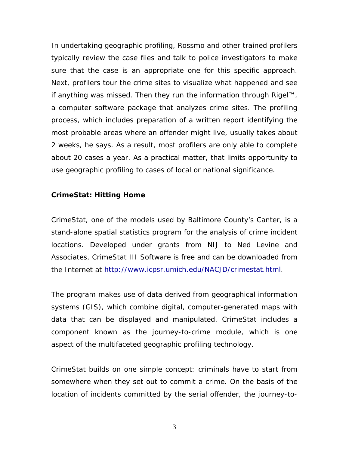In undertaking geographic profiling, Rossmo and other trained profilers typically review the case files and talk to police investigators to make sure that the case is an appropriate one for this specific approach. Next, profilers tour the crime sites to visualize what happened and see if anything was missed. Then they run the information through Rigel™, a computer software package that analyzes crime sites. The profiling process, which includes preparation of a written report identifying the most probable areas where an offender might live, usually takes about 2 weeks, he says. As a result, most profilers are only able to complete about 20 cases a year. As a practical matter, that limits opportunity to use geographic profiling to cases of local or national significance.

# **CrimeStat: Hitting Home**

CrimeStat, one of the models used by Baltimore County's Canter, is a stand-alone spatial statistics program for the analysis of crime incident locations. Developed under grants from NIJ to Ned Levine and Associates, CrimeStat III Software is free and can be downloaded from the Internet at [http://www.icpsr.umich.edu/NACJD/crimestat.html.](http://www.icpsr.umich.edu/NACJD/crimestat.html)

The program makes use of data derived from geographical information systems (GIS), which combine digital, computer-generated maps with data that can be displayed and manipulated. CrimeStat includes a component known as the journey-to-crime module, which is one aspect of the multifaceted geographic profiling technology.

CrimeStat builds on one simple concept: criminals have to start from somewhere when they set out to commit a crime. On the basis of the location of incidents committed by the serial offender, the journey-to-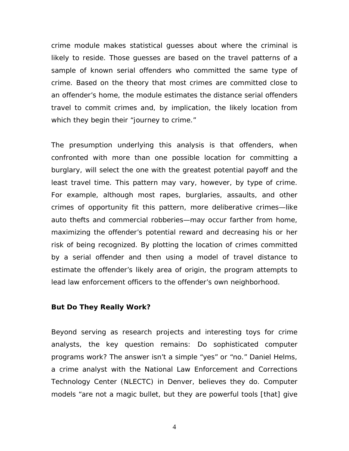crime module makes statistical guesses about where the criminal is likely to reside. Those guesses are based on the travel patterns of a sample of known serial offenders who committed the same type of crime. Based on the theory that most crimes are committed close to an offender's home, the module estimates the distance serial offenders travel to commit crimes and, by implication, the likely location from which they begin their "journey to crime."

The presumption underlying this analysis is that offenders, when confronted with more than one possible location for committing a burglary, will select the one with the greatest potential payoff and the least travel time. This pattern may vary, however, by type of crime. For example, although most rapes, burglaries, assaults, and other crimes of opportunity fit this pattern, more deliberative crimes—like auto thefts and commercial robberies—may occur farther from home, maximizing the offender's potential reward and decreasing his or her risk of being recognized. By plotting the location of crimes committed by a serial offender and then using a model of travel distance to estimate the offender's likely area of origin, the program attempts to lead law enforcement officers to the offender's own neighborhood.

### **But Do They Really Work?**

Beyond serving as research projects and interesting toys for crime analysts, the key question remains: Do sophisticated computer programs work? The answer isn't a simple "yes" or "no." Daniel Helms, a crime analyst with the National Law Enforcement and Corrections Technology Center (NLECTC) in Denver, believes they do. Computer models "are not a magic bullet, but they are powerful tools [that] give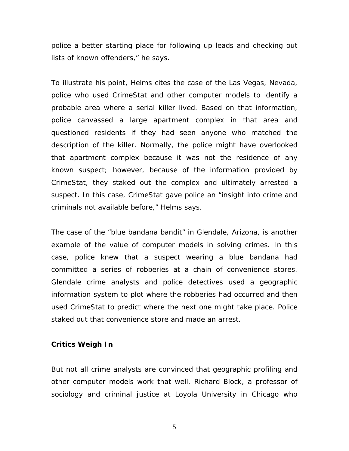police a better starting place for following up leads and checking out lists of known offenders," he says.

To illustrate his point, Helms cites the case of the Las Vegas, Nevada, police who used CrimeStat and other computer models to identify a probable area where a serial killer lived. Based on that information, police canvassed a large apartment complex in that area and questioned residents if they had seen anyone who matched the description of the killer. Normally, the police might have overlooked that apartment complex because it was not the residence of any known suspect; however, because of the information provided by CrimeStat, they staked out the complex and ultimately arrested a suspect. In this case, CrimeStat gave police an "insight into crime and criminals not available before," Helms says.

The case of the "blue bandana bandit" in Glendale, Arizona, is another example of the value of computer models in solving crimes. In this case, police knew that a suspect wearing a blue bandana had committed a series of robberies at a chain of convenience stores. Glendale crime analysts and police detectives used a geographic information system to plot where the robberies had occurred and then used CrimeStat to predict where the next one might take place. Police staked out that convenience store and made an arrest.

## **Critics Weigh In**

But not all crime analysts are convinced that geographic profiling and other computer models work that well. Richard Block, a professor of sociology and criminal justice at Loyola University in Chicago who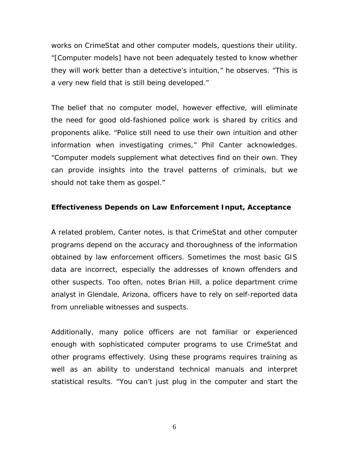works on CrimeStat and other computer models, questions their utility. "[Computer models] have not been adequately tested to know whether they will work better than a detective's intuition," he observes. "This is a very new field that is still being developed."

The belief that no computer model, however effective, will eliminate the need for good old-fashioned police work is shared by critics and proponents alike. "Police still need to use their own intuition and other information when investigating crimes," Phil Canter acknowledges. "Computer models supplement what detectives find on their own. They can provide insights into the travel patterns of criminals, but we should not take them as gospel."

# **Effectiveness Depends on Law Enforcement Input, Acceptance**

A related problem, Canter notes, is that CrimeStat and other computer programs depend on the accuracy and thoroughness of the information obtained by law enforcement officers. Sometimes the most basic GIS data are incorrect, especially the addresses of known offenders and other suspects. Too often, notes Brian Hill, a police department crime analyst in Glendale, Arizona, officers have to rely on self-reported data from unreliable witnesses and suspects.

Additionally, many police officers are not familiar or experienced enough with sophisticated computer programs to use CrimeStat and other programs effectively. Using these programs requires training as well as an ability to understand technical manuals and interpret statistical results. "You can't just plug in the computer and start the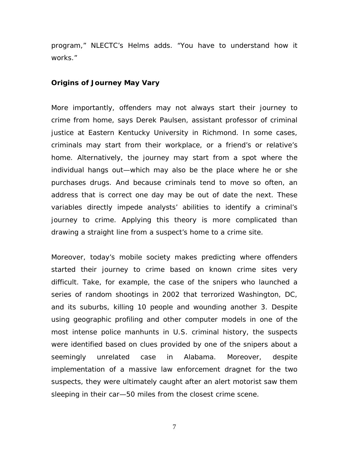program," NLECTC's Helms adds. "You have to understand how it works."

#### **Origins of Journey May Vary**

More importantly, offenders may not always start their journey to crime from home, says Derek Paulsen, assistant professor of criminal justice at Eastern Kentucky University in Richmond. In some cases, criminals may start from their workplace, or a friend's or relative's home. Alternatively, the journey may start from a spot where the individual hangs out—which may also be the place where he or she purchases drugs. And because criminals tend to move so often, an address that is correct one day may be out of date the next. These variables directly impede analysts' abilities to identify a criminal's journey to crime. Applying this theory is more complicated than drawing a straight line from a suspect's home to a crime site.

Moreover, today's mobile society makes predicting where offenders started their journey to crime based on known crime sites very difficult. Take, for example, the case of the snipers who launched a series of random shootings in 2002 that terrorized Washington, DC, and its suburbs, killing 10 people and wounding another 3. Despite using geographic profiling and other computer models in one of the most intense police manhunts in U.S. criminal history, the suspects were identified based on clues provided by one of the snipers about a seemingly unrelated case in Alabama. Moreover, despite implementation of a massive law enforcement dragnet for the two suspects, they were ultimately caught after an alert motorist saw them sleeping in their car—50 miles from the closest crime scene.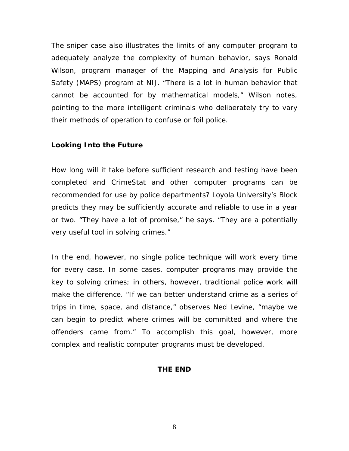The sniper case also illustrates the limits of any computer program to adequately analyze the complexity of human behavior, says Ronald Wilson, program manager of the Mapping and Analysis for Public Safety (MAPS) program at NIJ. "There is a lot in human behavior that cannot be accounted for by mathematical models," Wilson notes, pointing to the more intelligent criminals who deliberately try to vary their methods of operation to confuse or foil police.

# **Looking Into the Future**

How long will it take before sufficient research and testing have been completed and CrimeStat and other computer programs can be recommended for use by police departments? Loyola University's Block predicts they may be sufficiently accurate and reliable to use in a year or two. "They have a lot of promise," he says. "They are a potentially very useful tool in solving crimes."

In the end, however, no single police technique will work every time for every case. In some cases, computer programs may provide the key to solving crimes; in others, however, traditional police work will make the difference. "If we can better understand crime as a series of trips in time, space, and distance," observes Ned Levine, "maybe we can begin to predict where crimes will be committed and where the offenders came from." To accomplish this goal, however, more complex and realistic computer programs must be developed.

### **THE END**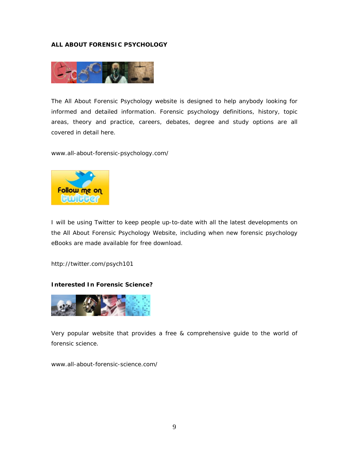#### **ALL ABOUT FORENSIC PSYCHOLOGY**



The All About Forensic Psychology website is designed to help anybody looking for informed and detailed information. Forensic psychology definitions, history, topic areas, theory and practice, careers, debates, degree and study options are all covered in detail here.

[www.all-about-forensic-psychology.com/](http://www.all-about-forensic-psychology.com/)



I will be using Twitter to keep people up-to-date with all the latest developments on the All About Forensic Psychology Website, including when new forensic psychology eBooks are made available for free download.

<http://twitter.com/psych101>

#### **Interested In Forensic Science?**



Very popular website that provides a free & comprehensive guide to the world of forensic science.

[www.all-about-forensic-science.com/](http://www.all-about-forensic-science.com/)